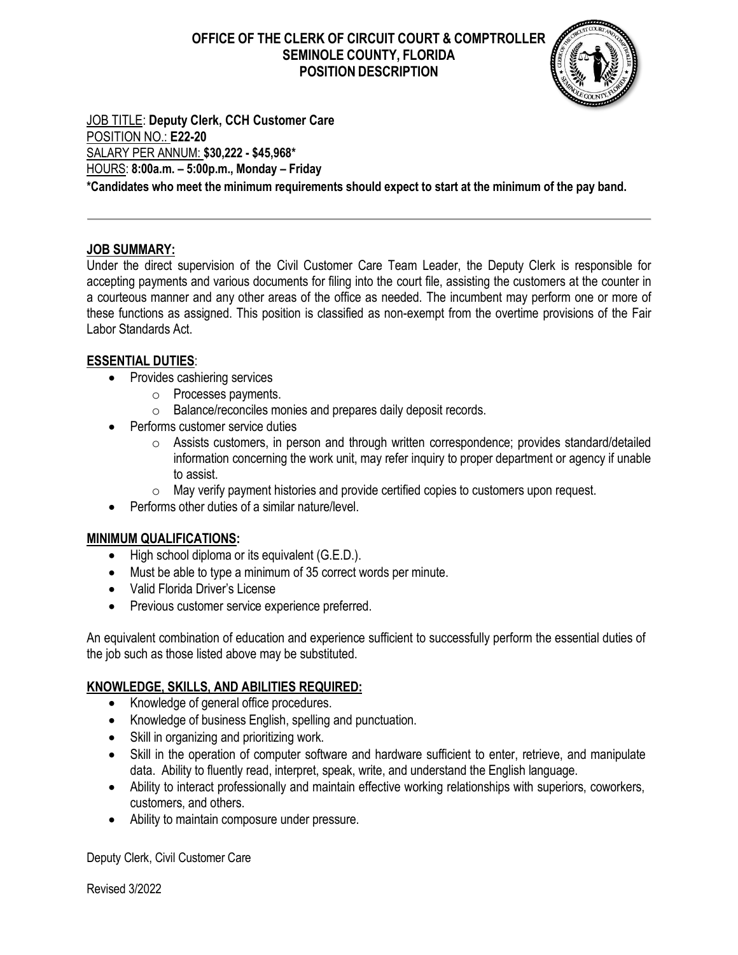# **OFFICE OF THE CLERK OF CIRCUIT COURT & COMPTROLLER SEMINOLE COUNTY, FLORIDA POSITION DESCRIPTION**



JOB TITLE: **Deputy Clerk, CCH Customer Care** POSITION NO.: **E22-20** SALARY PER ANNUM: **\$30,222 - \$45,968\*** HOURS: **8:00a.m. – 5:00p.m., Monday – Friday \*Candidates who meet the minimum requirements should expect to start at the minimum of the pay band.**

## **JOB SUMMARY:**

Under the direct supervision of the Civil Customer Care Team Leader, the Deputy Clerk is responsible for accepting payments and various documents for filing into the court file, assisting the customers at the counter in a courteous manner and any other areas of the office as needed. The incumbent may perform one or more of these functions as assigned. This position is classified as non-exempt from the overtime provisions of the Fair Labor Standards Act.

#### **ESSENTIAL DUTIES**:

- Provides cashiering services
	- o Processes payments.
	- o Balance/reconciles monies and prepares daily deposit records.
- Performs customer service duties
	- o Assists customers, in person and through written correspondence; provides standard/detailed information concerning the work unit, may refer inquiry to proper department or agency if unable to assist.
	- o May verify payment histories and provide certified copies to customers upon request.
- Performs other duties of a similar nature/level

#### **MINIMUM QUALIFICATIONS:**

- High school diploma or its equivalent (G.E.D.).
- Must be able to type a minimum of 35 correct words per minute.
- Valid Florida Driver's License
- Previous customer service experience preferred.

An equivalent combination of education and experience sufficient to successfully perform the essential duties of the job such as those listed above may be substituted.

#### **KNOWLEDGE, SKILLS, AND ABILITIES REQUIRED:**

- Knowledge of general office procedures.
- Knowledge of business English, spelling and punctuation.
- Skill in organizing and prioritizing work.
- Skill in the operation of computer software and hardware sufficient to enter, retrieve, and manipulate data. Ability to fluently read, interpret, speak, write, and understand the English language.
- Ability to interact professionally and maintain effective working relationships with superiors, coworkers, customers, and others.
- Ability to maintain composure under pressure.

Deputy Clerk, Civil Customer Care